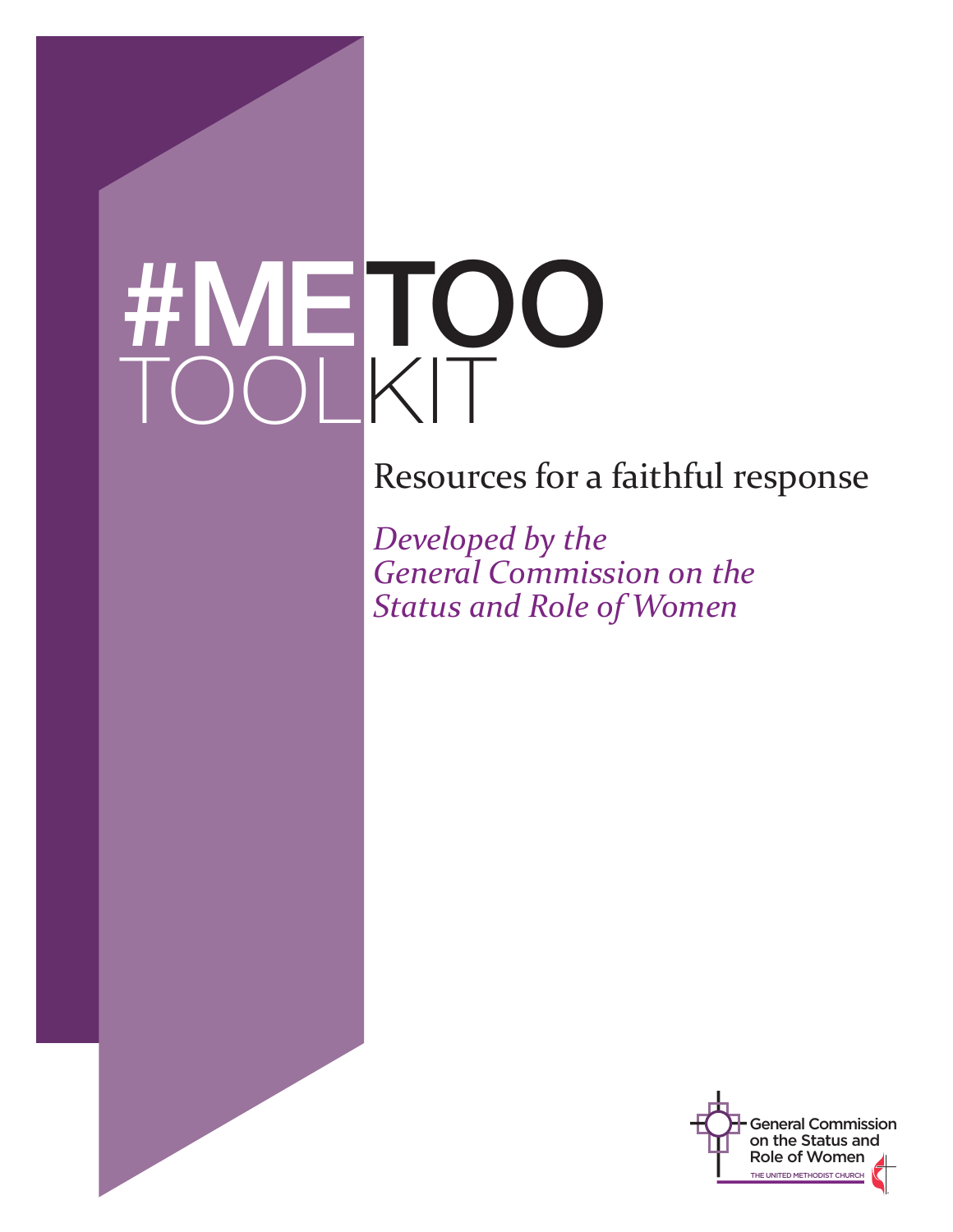# #METOO TOOLKIT

Resources for a faithful response

*Developed by the General Commission on the Status and Role of Women*

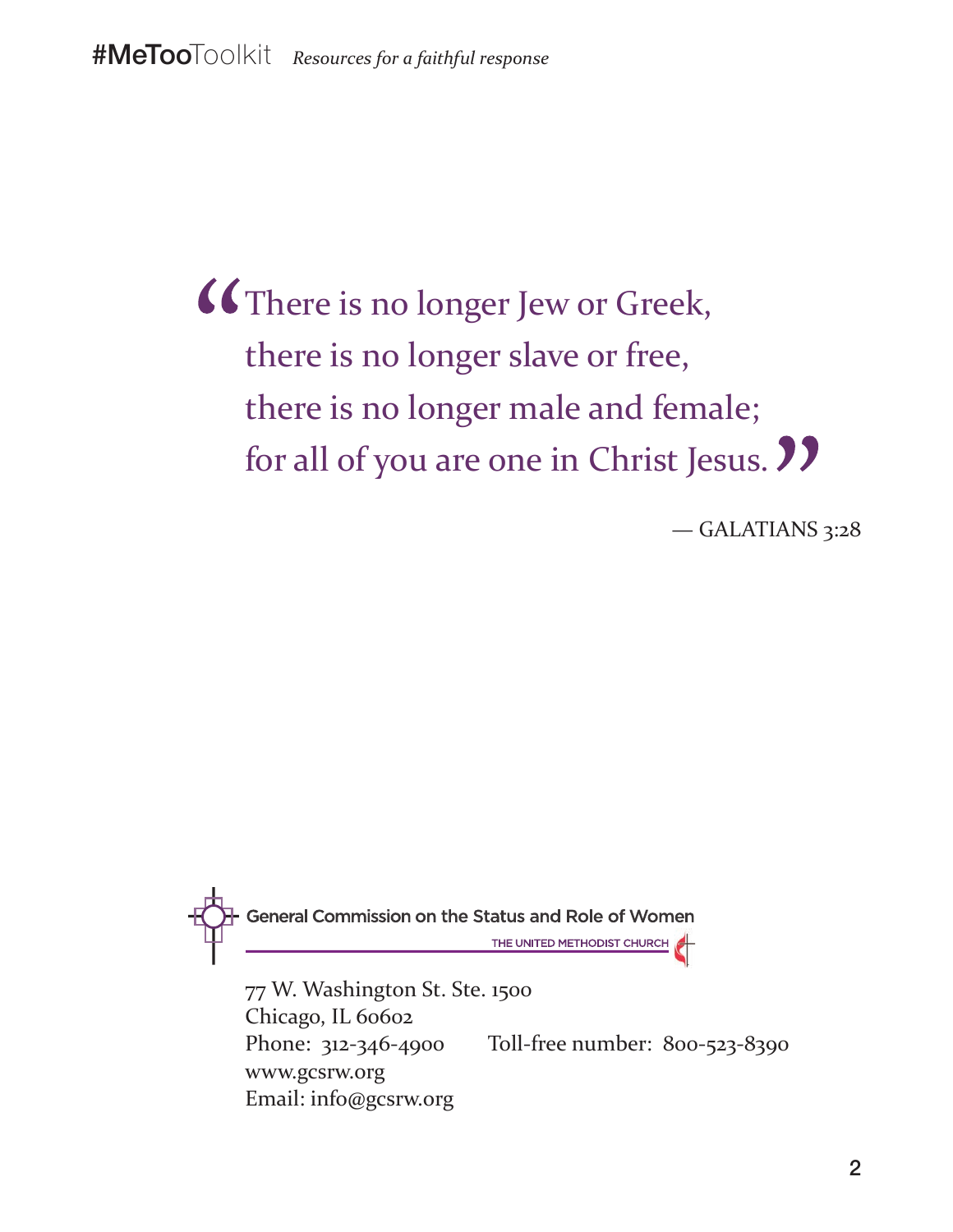There is no longer Jew or Greek, there is no longer slave or free, there is no longer male and female; for all of you are one in Christ Jesus. **77** 

— GALATIANS 3:28



www.gcsrw.org Email: info@gcsrw.org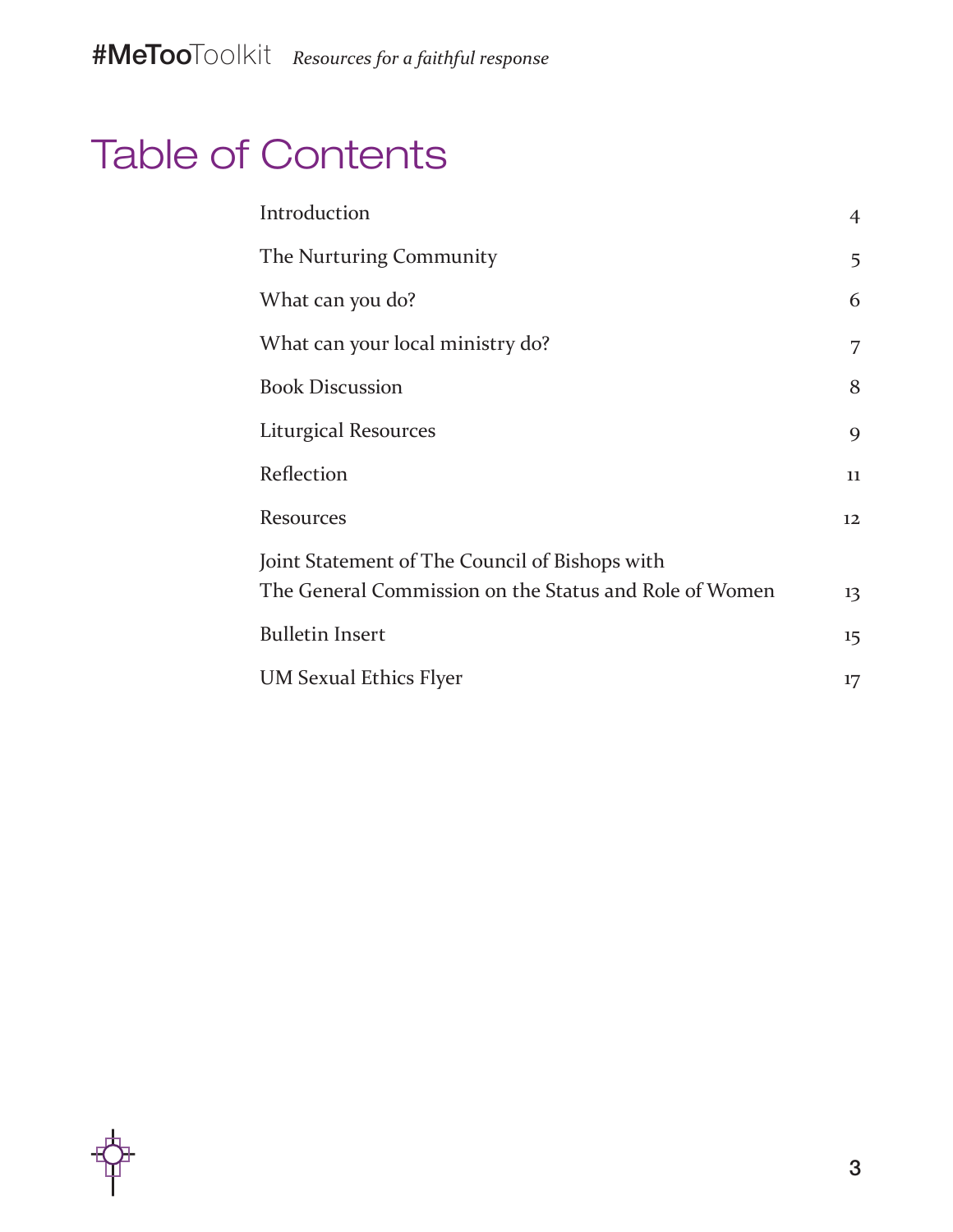### Table of Contents

| Introduction                                           | $\overline{4}$              |
|--------------------------------------------------------|-----------------------------|
| The Nurturing Community                                | 5                           |
| What can you do?                                       | 6                           |
| What can your local ministry do?                       | 7                           |
| <b>Book Discussion</b>                                 | 8                           |
| Liturgical Resources                                   | 9                           |
| Reflection                                             | 11                          |
| <b>Resources</b>                                       | 12                          |
| Joint Statement of The Council of Bishops with         |                             |
| The General Commission on the Status and Role of Women | 13                          |
| <b>Bulletin Insert</b>                                 | $15 \overline{\phantom{0}}$ |
| <b>UM Sexual Ethics Flyer</b>                          | 17                          |

3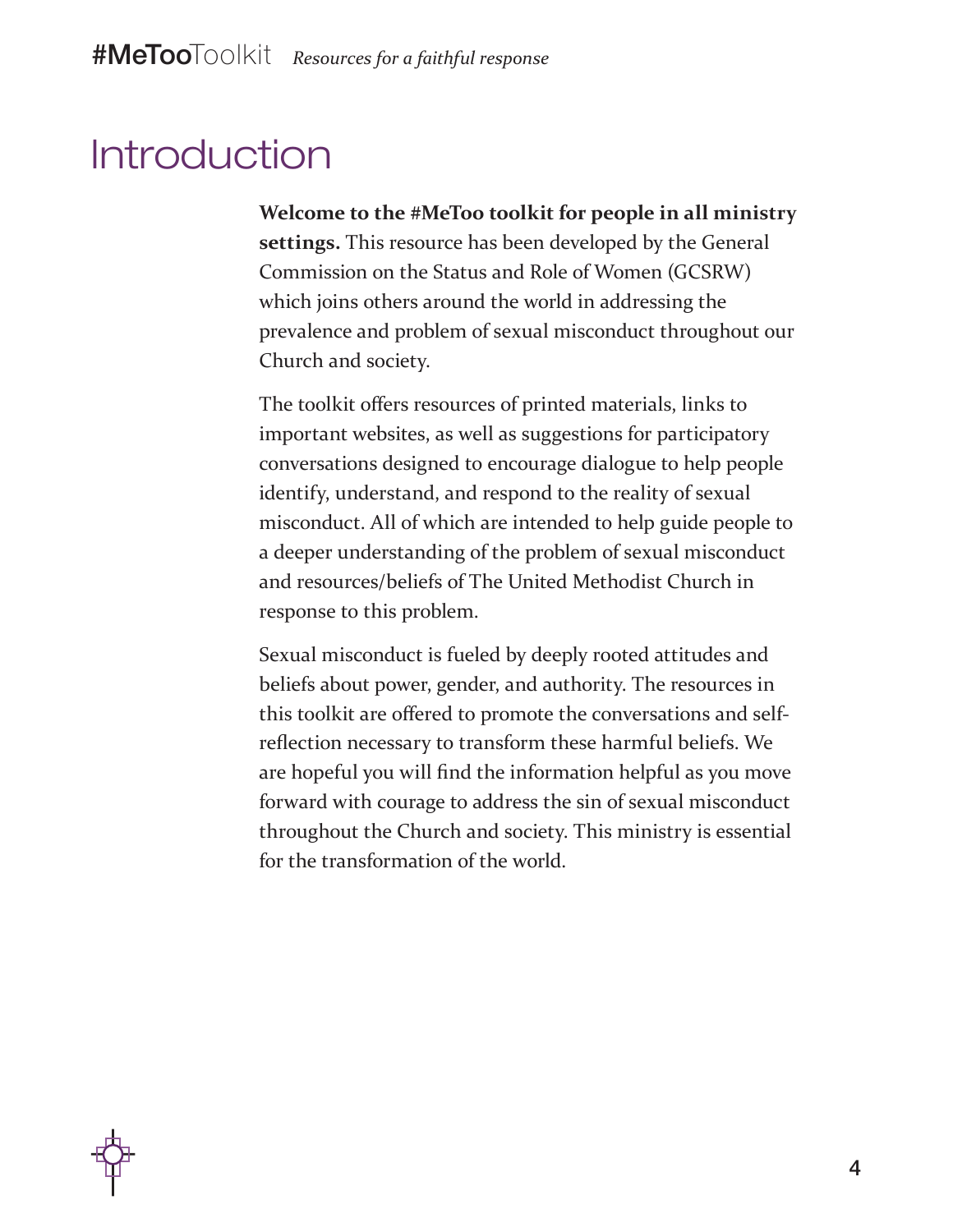#### Introduction

**Welcome to the #MeToo toolkit for people in all ministry settings.** This resource has been developed by the General Commission on the Status and Role of Women (GCSRW) which joins others around the world in addressing the prevalence and problem of sexual misconduct throughout our Church and society.

The toolkit offers resources of printed materials, links to important websites, as well as suggestions for participatory conversations designed to encourage dialogue to help people identify, understand, and respond to the reality of sexual misconduct. All of which are intended to help guide people to a deeper understanding of the problem of sexual misconduct and resources/beliefs of The United Methodist Church in response to this problem.

Sexual misconduct is fueled by deeply rooted attitudes and beliefs about power, gender, and authority. The resources in this toolkit are offered to promote the conversations and selfreflection necessary to transform these harmful beliefs. We are hopeful you will find the information helpful as you move forward with courage to address the sin of sexual misconduct throughout the Church and society. This ministry is essential for the transformation of the world.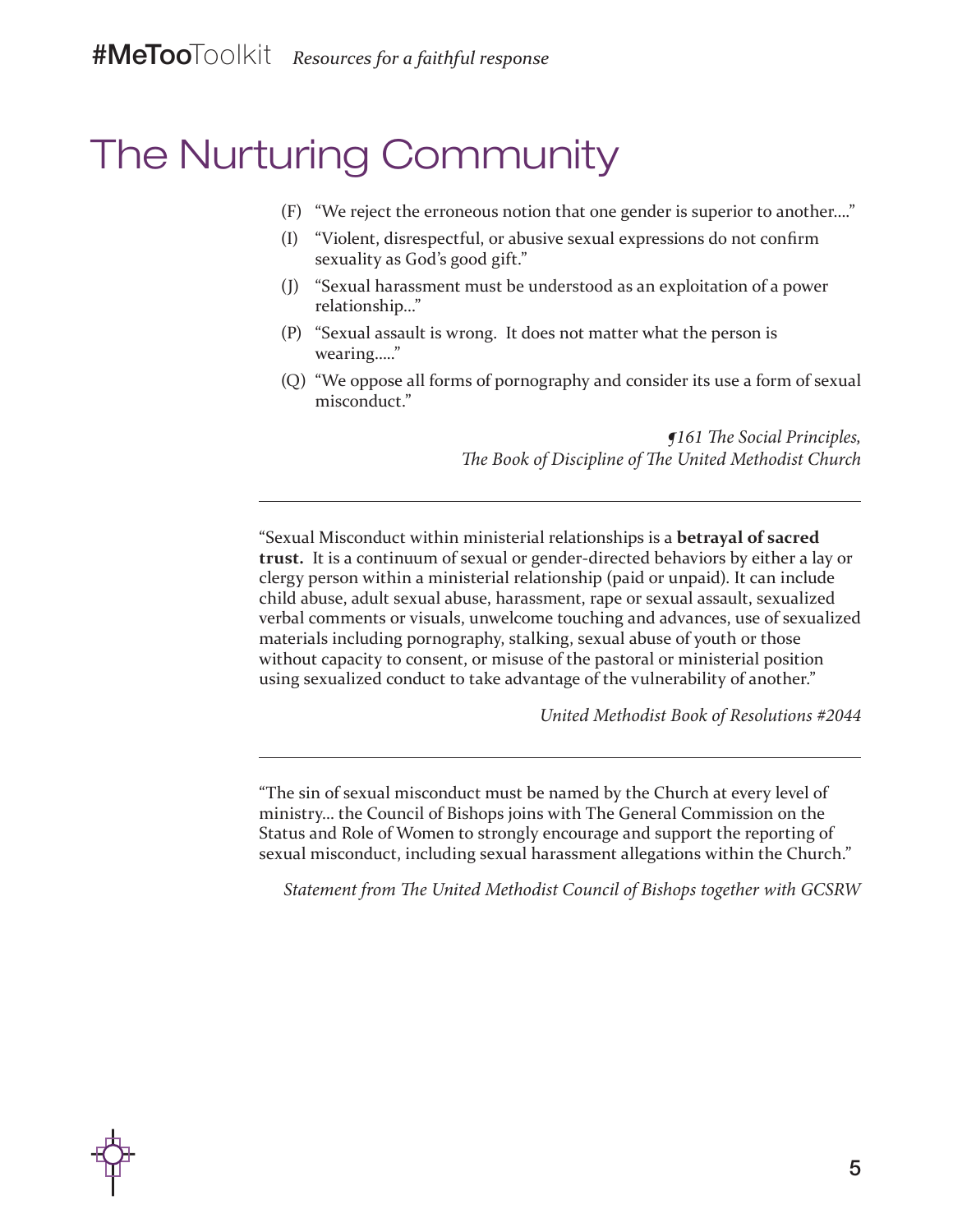### The Nurturing Community

- (F) "We reject the erroneous notion that one gender is superior to another…."
- (I) "Violent, disrespectful, or abusive sexual expressions do not confirm sexuality as God's good gift."
- (J) "Sexual harassment must be understood as an exploitation of a power relationship…"
- (P) "Sexual assault is wrong. It does not matter what the person is wearing….."
- (Q) "We oppose all forms of pornography and consider its use a form of sexual misconduct."

*¶161 The Social Principles, The Book of Discipline of The United Methodist Church*

"Sexual Misconduct within ministerial relationships is a **betrayal of sacred trust.** It is a continuum of sexual or gender-directed behaviors by either a lay or clergy person within a ministerial relationship (paid or unpaid). It can include child abuse, adult sexual abuse, harassment, rape or sexual assault, sexualized verbal comments or visuals, unwelcome touching and advances, use of sexualized materials including pornography, stalking, sexual abuse of youth or those without capacity to consent, or misuse of the pastoral or ministerial position using sexualized conduct to take advantage of the vulnerability of another."

*United Methodist Book of Resolutions #2044*

"The sin of sexual misconduct must be named by the Church at every level of ministry… the Council of Bishops joins with The General Commission on the Status and Role of Women to strongly encourage and support the reporting of sexual misconduct, including sexual harassment allegations within the Church."

*Statement from The United Methodist Council of Bishops together with GCSRW*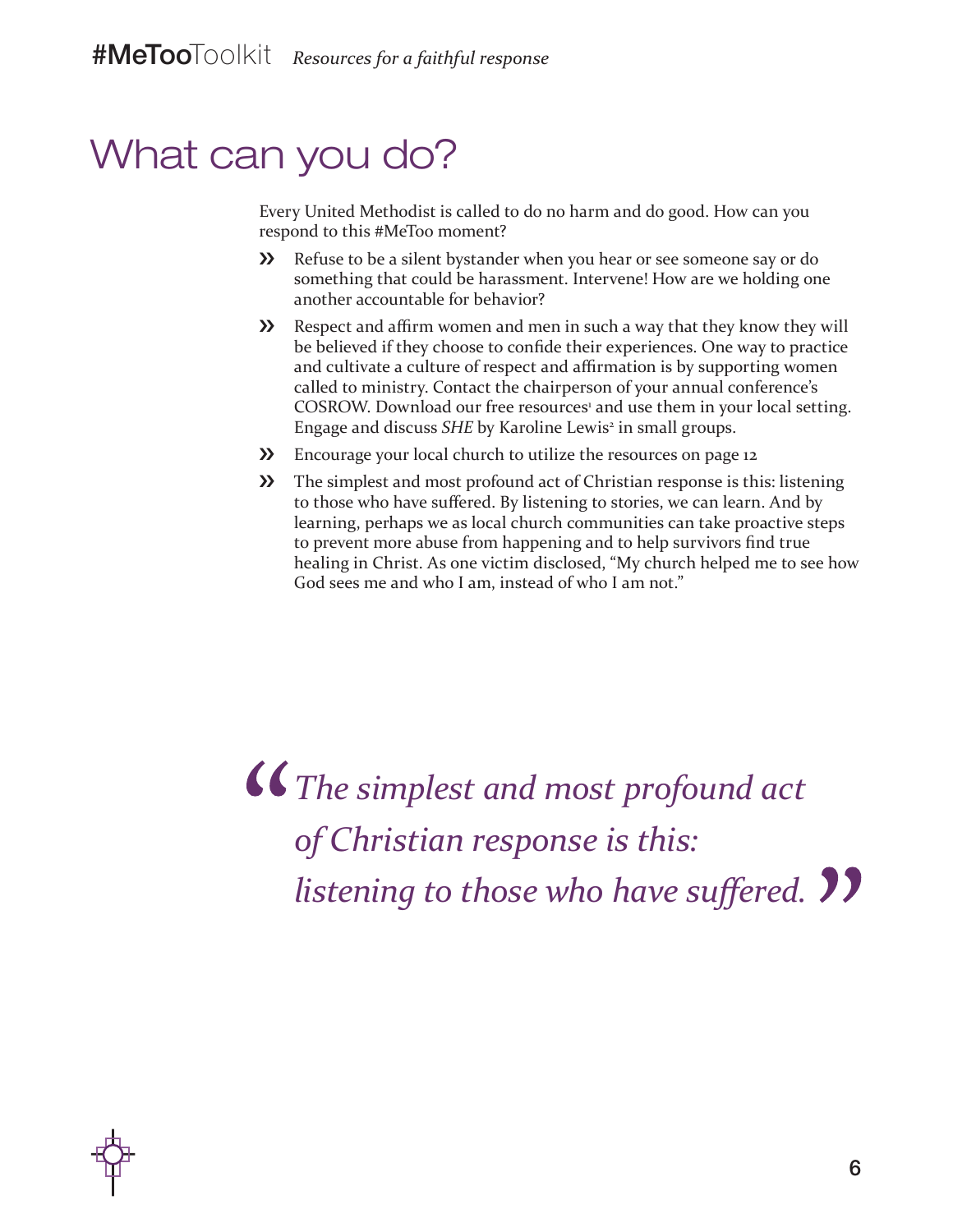### What can you do?

Every United Methodist is called to do no harm and do good. How can you respond to this #MeToo moment?

- ›› Refuse to be a silent bystander when you hear or see someone say or do something that could be harassment. Intervene! How are we holding one another accountable for behavior?
- **>>** Respect and affirm women and men in such a way that they know they will be believed if they choose to confide their experiences. One way to practice and cultivate a culture of respect and affirmation is by supporting women called to ministry. Contact the chairperson of your annual conference's COSROW. Download our free resources' and use them in your local setting. Engage and discuss *SHE* by Karoline Lewis<sup>2</sup> in small groups.
- ›› Encourage your local church to utilize the resources on page 12
- **>>** The simplest and most profound act of Christian response is this: listening to those who have suffered. By listening to stories, we can learn. And by learning, perhaps we as local church communities can take proactive steps to prevent more abuse from happening and to help survivors find true healing in Christ. As one victim disclosed, "My church helped me to see how God sees me and who I am, instead of who I am not."

*The simplest and most profound act of Christian response is this: listening to those who have suffered.*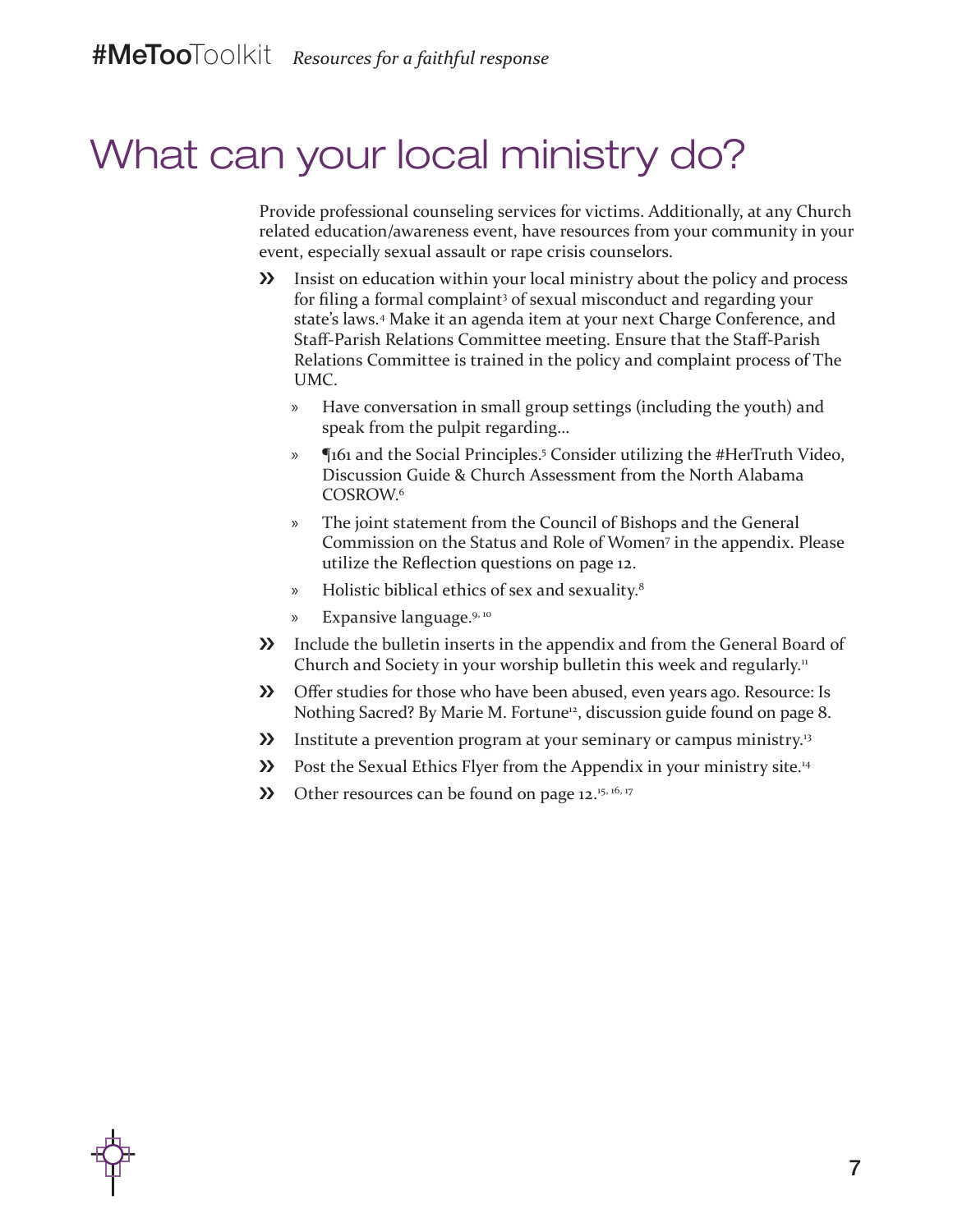### What can your local ministry do?

Provide professional counseling services for victims. Additionally, at any Church related education/awareness event, have resources from your community in your event, especially sexual assault or rape crisis counselors.

- **>>** Insist on education within your local ministry about the policy and process for filing a formal complaint<sup>3</sup> of sexual misconduct and regarding your state's laws.4 Make it an agenda item at your next Charge Conference, and Staff-Parish Relations Committee meeting. Ensure that the Staff-Parish Relations Committee is trained in the policy and complaint process of The UMC.
	- » Have conversation in small group settings (including the youth) and speak from the pulpit regarding…
	- » ¶161 and the Social Principles.5 Consider utilizing the #HerTruth Video, Discussion Guide & Church Assessment from the North Alabama COSROW.<sup>6</sup>
	- » The joint statement from the Council of Bishops and the General Commission on the Status and Role of Women7 in the appendix. Please utilize the Reflection questions on page 12.
	- » Holistic biblical ethics of sex and sexuality.8
	- » Expansive language.9, <sup>10</sup>
- **>>** Include the bulletin inserts in the appendix and from the General Board of Church and Society in your worship bulletin this week and regularly.<sup>11</sup>
- **>>** Offer studies for those who have been abused, even years ago. Resource: Is Nothing Sacred? By Marie M. Fortune<sup>12</sup>, discussion guide found on page 8.
- **>>** Institute a prevention program at your seminary or campus ministry.<sup>13</sup>
- **EXECUTE:** Post the Sexual Ethics Flyer from the Appendix in your ministry site.<sup>14</sup>
- **>>** Other resources can be found on page  $12.^{15, 16, 17}$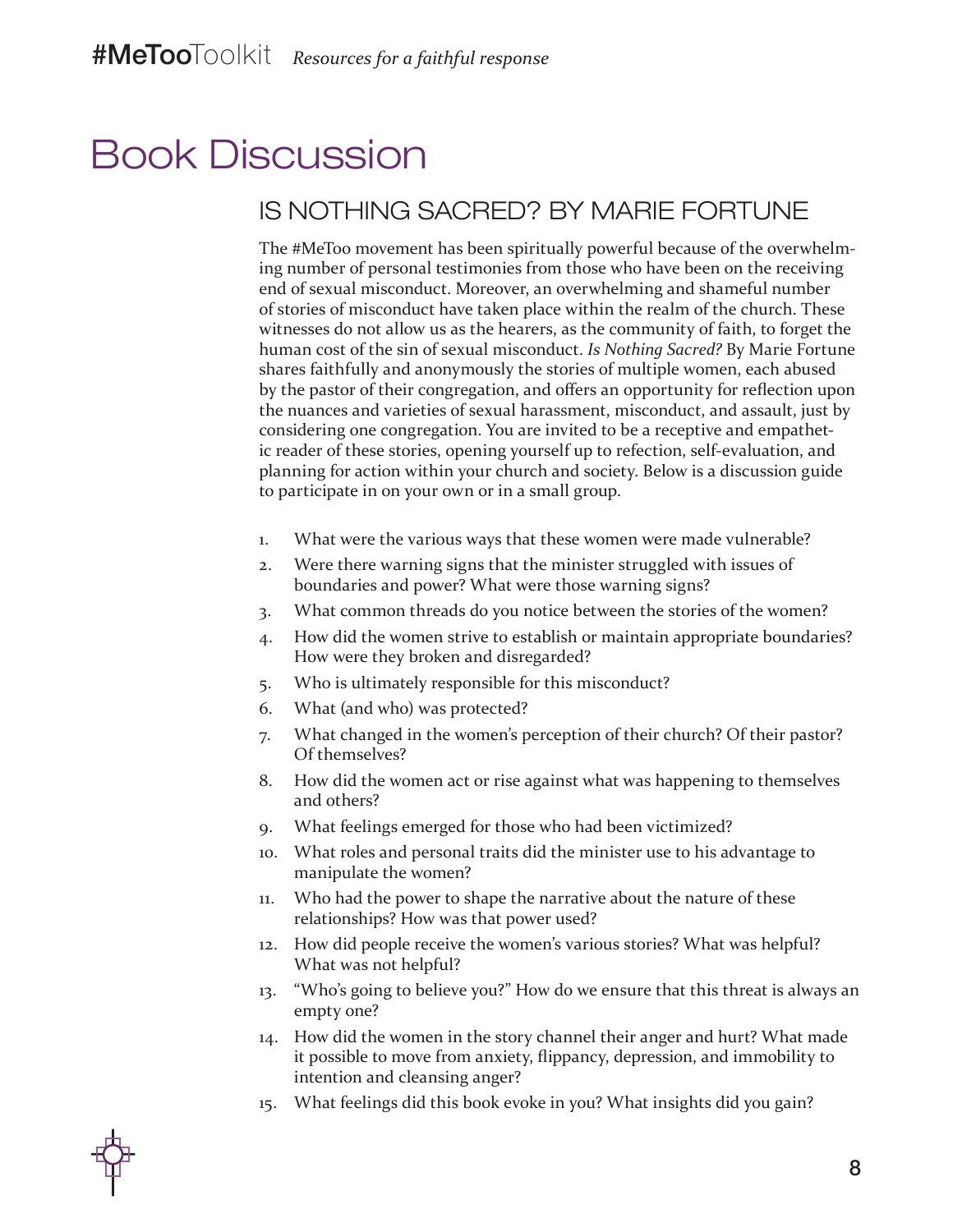### Book Discussion

#### IS NOTHING SACRED? BY MARIE FORTUNE

The #MeToo movement has been spiritually powerful because of the overwhelming number of personal testimonies from those who have been on the receiving end of sexual misconduct. Moreover, an overwhelming and shameful number of stories of misconduct have taken place within the realm of the church. These witnesses do not allow us as the hearers, as the community of faith, to forget the human cost of the sin of sexual misconduct. *Is Nothing Sacred?* By Marie Fortune shares faithfully and anonymously the stories of multiple women, each abused by the pastor of their congregation, and offers an opportunity for reflection upon the nuances and varieties of sexual harassment, misconduct, and assault, just by considering one congregation. You are invited to be a receptive and empathetic reader of these stories, opening yourself up to refection, self-evaluation, and planning for action within your church and society. Below is a discussion guide to participate in on your own or in a small group.

- 1. What were the various ways that these women were made vulnerable?
- 2. Were there warning signs that the minister struggled with issues of boundaries and power? What were those warning signs?
- 3. What common threads do you notice between the stories of the women?
- 4. How did the women strive to establish or maintain appropriate boundaries? How were they broken and disregarded?
- 5. Who is ultimately responsible for this misconduct?
- 6. What (and who) was protected?
- 7. What changed in the women's perception of their church? Of their pastor? Of themselves?
- 8. How did the women act or rise against what was happening to themselves and others?
- 9. What feelings emerged for those who had been victimized?
- 10. What roles and personal traits did the minister use to his advantage to manipulate the women?
- 11. Who had the power to shape the narrative about the nature of these relationships? How was that power used?
- 12. How did people receive the women's various stories? What was helpful? What was not helpful?
- 13. "Who's going to believe you?" How do we ensure that this threat is always an empty one?
- 14. How did the women in the story channel their anger and hurt? What made it possible to move from anxiety, flippancy, depression, and immobility to intention and cleansing anger?
- 15. What feelings did this book evoke in you? What insights did you gain?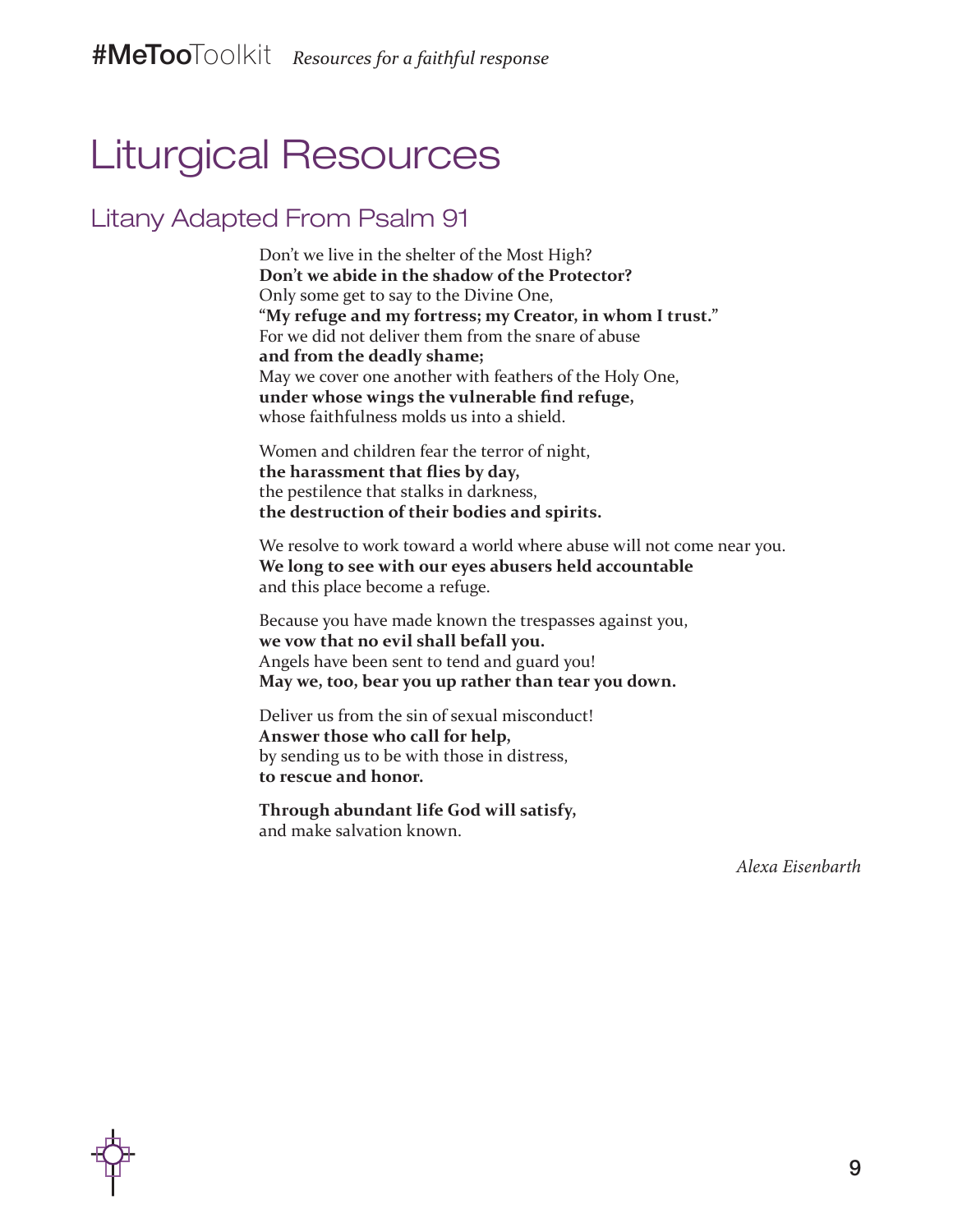### Liturgical Resources

#### Litany Adapted From Psalm 91

Don't we live in the shelter of the Most High? **Don't we abide in the shadow of the Protector?** Only some get to say to the Divine One, **"My refuge and my fortress; my Creator, in whom I trust."**  For we did not deliver them from the snare of abuse **and from the deadly shame;**  May we cover one another with feathers of the Holy One, **under whose wings the vulnerable find refuge,**  whose faithfulness molds us into a shield.

Women and children fear the terror of night, **the harassment that flies by day,**  the pestilence that stalks in darkness, **the destruction of their bodies and spirits.** 

We resolve to work toward a world where abuse will not come near you. **We long to see with our eyes abusers held accountable**  and this place become a refuge.

Because you have made known the trespasses against you, **we vow that no evil shall befall you.** Angels have been sent to tend and guard you! **May we, too, bear you up rather than tear you down.** 

Deliver us from the sin of sexual misconduct! **Answer those who call for help,**  by sending us to be with those in distress, **to rescue and honor.** 

**Through abundant life God will satisfy,**  and make salvation known.

*Alexa Eisenbarth*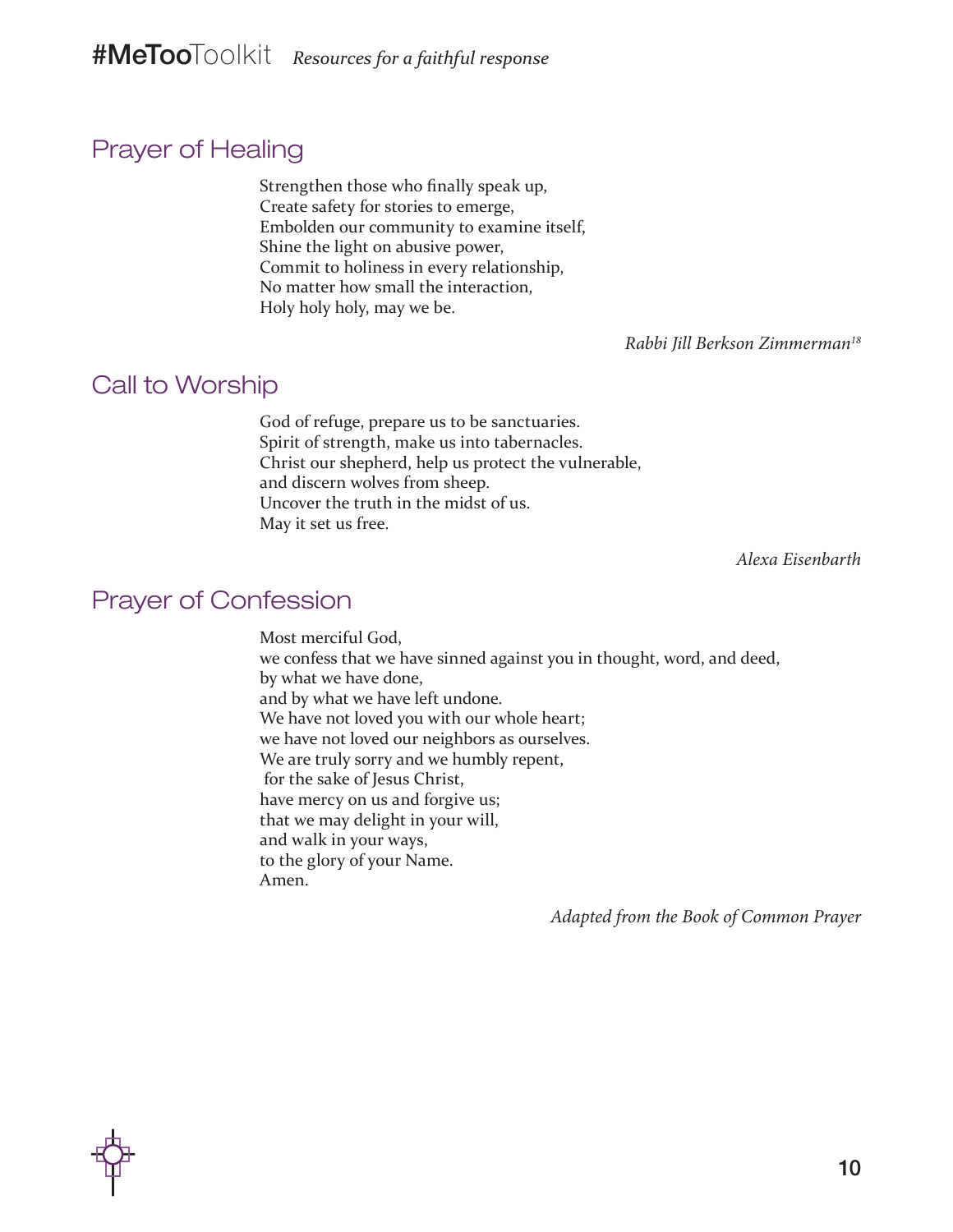#### Prayer of Healing

Strengthen those who finally speak up, Create safety for stories to emerge, Embolden our community to examine itself, Shine the light on abusive power, Commit to holiness in every relationship, No matter how small the interaction, Holy holy holy, may we be.

*Rabbi Jill Berkson Zimmerman18*

#### Call to Worship

God of refuge, prepare us to be sanctuaries. Spirit of strength, make us into tabernacles. Christ our shepherd, help us protect the vulnerable, and discern wolves from sheep. Uncover the truth in the midst of us. May it set us free.

*Alexa Eisenbarth*

#### Prayer of Confession

Most merciful God, we confess that we have sinned against you in thought, word, and deed, by what we have done, and by what we have left undone. We have not loved you with our whole heart; we have not loved our neighbors as ourselves. We are truly sorry and we humbly repent, for the sake of Jesus Christ, have mercy on us and forgive us; that we may delight in your will, and walk in your ways, to the glory of your Name. Amen.

*Adapted from the Book of Common Prayer*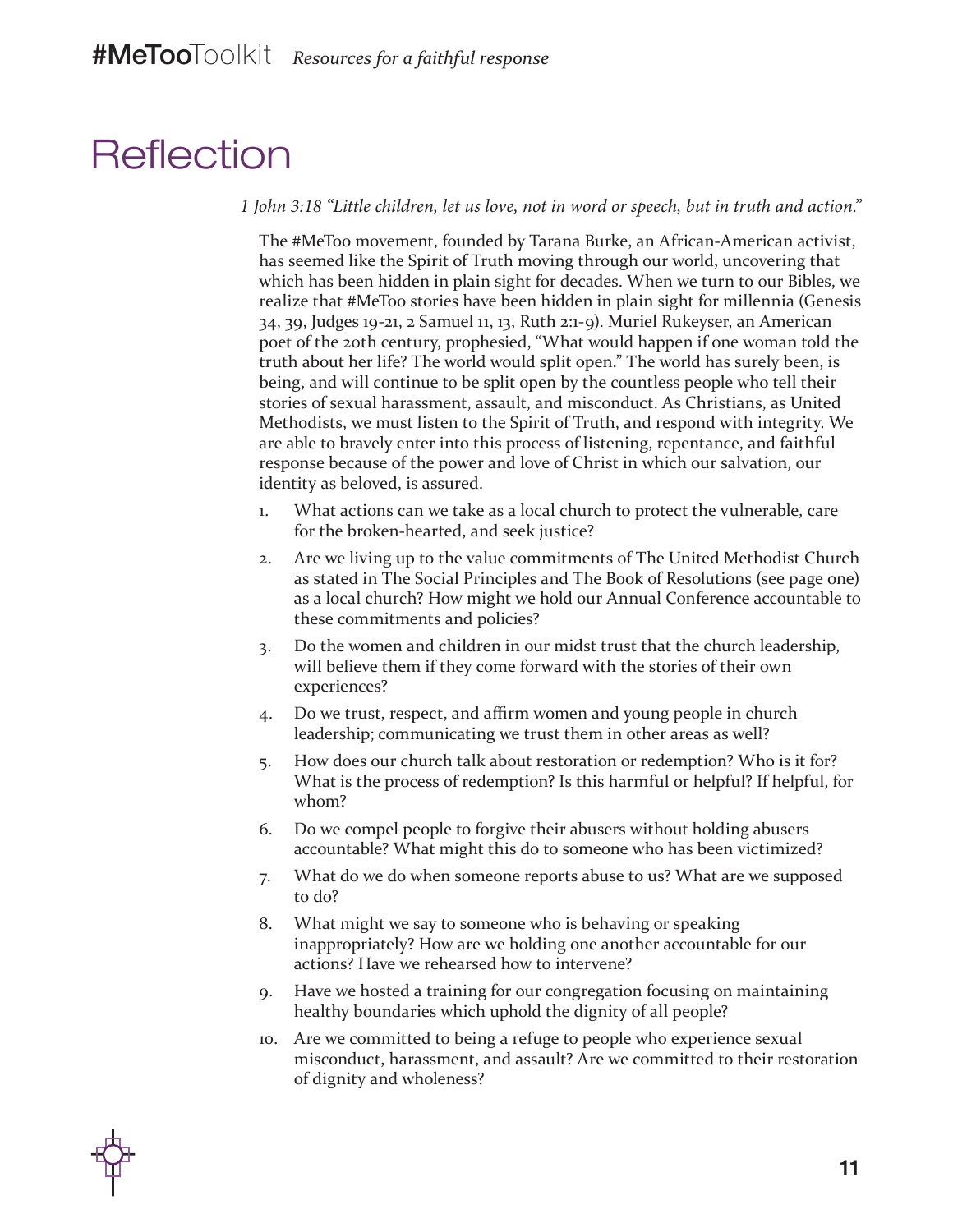#### **Reflection**

*1 John 3:18 "Little children, let us love, not in word or speech, but in truth and action."*

The #MeToo movement, founded by Tarana Burke, an African-American activist, has seemed like the Spirit of Truth moving through our world, uncovering that which has been hidden in plain sight for decades. When we turn to our Bibles, we realize that #MeToo stories have been hidden in plain sight for millennia (Genesis 34, 39, Judges 19-21, 2 Samuel 11, 13, Ruth 2:1-9). Muriel Rukeyser, an American poet of the 20th century, prophesied, "What would happen if one woman told the truth about her life? The world would split open." The world has surely been, is being, and will continue to be split open by the countless people who tell their stories of sexual harassment, assault, and misconduct. As Christians, as United Methodists, we must listen to the Spirit of Truth, and respond with integrity. We are able to bravely enter into this process of listening, repentance, and faithful response because of the power and love of Christ in which our salvation, our identity as beloved, is assured.

- 1. What actions can we take as a local church to protect the vulnerable, care for the broken-hearted, and seek justice?
- 2. Are we living up to the value commitments of The United Methodist Church as stated in The Social Principles and The Book of Resolutions (see page one) as a local church? How might we hold our Annual Conference accountable to these commitments and policies?
- 3. Do the women and children in our midst trust that the church leadership, will believe them if they come forward with the stories of their own experiences?
- 4. Do we trust, respect, and affirm women and young people in church leadership; communicating we trust them in other areas as well?
- 5. How does our church talk about restoration or redemption? Who is it for? What is the process of redemption? Is this harmful or helpful? If helpful, for whom?
- 6. Do we compel people to forgive their abusers without holding abusers accountable? What might this do to someone who has been victimized?
- 7. What do we do when someone reports abuse to us? What are we supposed to do?
- 8. What might we say to someone who is behaving or speaking inappropriately? How are we holding one another accountable for our actions? Have we rehearsed how to intervene?
- 9. Have we hosted a training for our congregation focusing on maintaining healthy boundaries which uphold the dignity of all people?
- 10. Are we committed to being a refuge to people who experience sexual misconduct, harassment, and assault? Are we committed to their restoration of dignity and wholeness?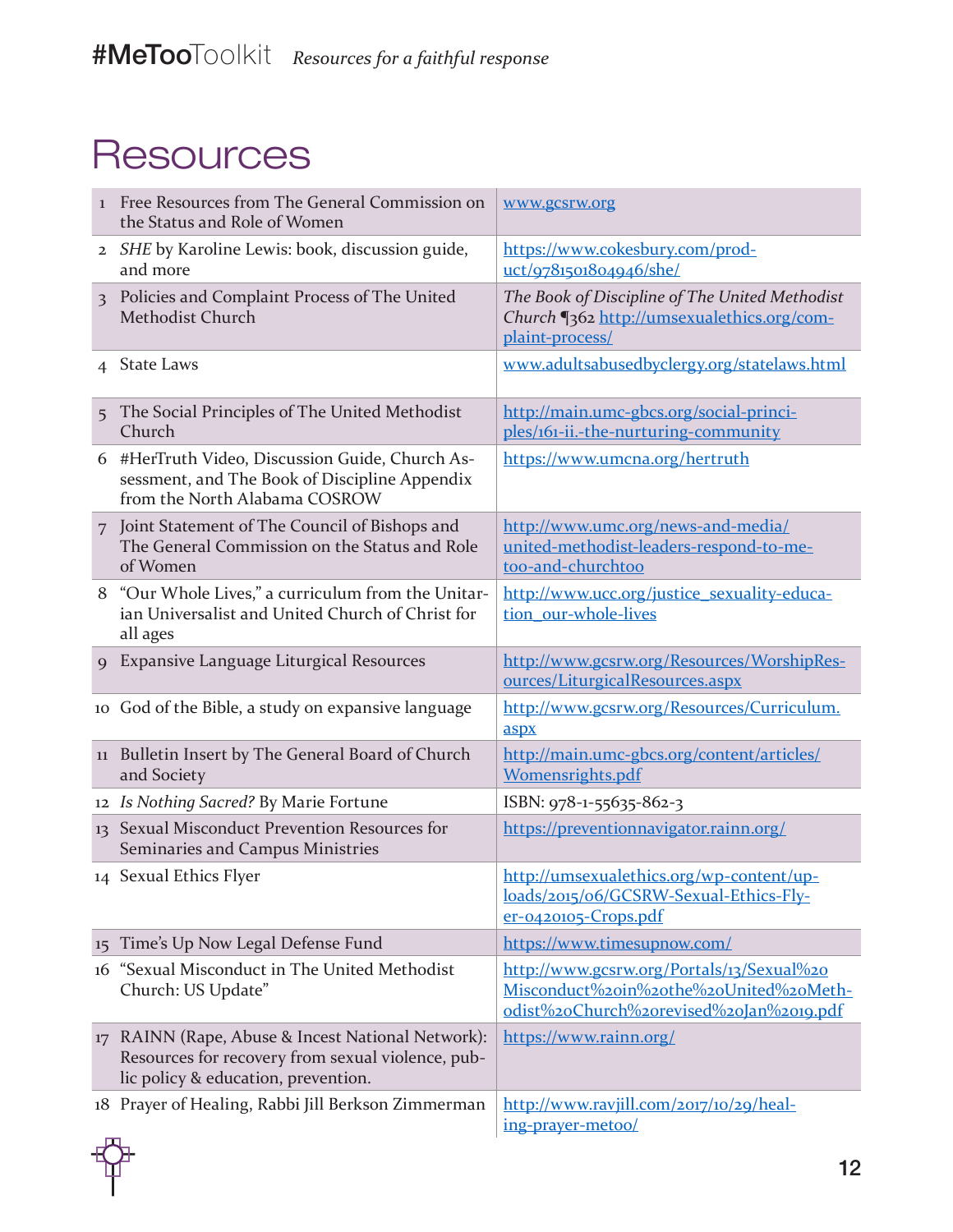### **Resources**

| $\mathbf{I}$   | Free Resources from The General Commission on<br>the Status and Role of Women                                                              | www.gcsrw.org                                                                                                                  |
|----------------|--------------------------------------------------------------------------------------------------------------------------------------------|--------------------------------------------------------------------------------------------------------------------------------|
|                | 2 SHE by Karoline Lewis: book, discussion guide,<br>and more                                                                               | https://www.cokesbury.com/prod-<br>uct/9781501804946/she/                                                                      |
| $\overline{3}$ | Policies and Complaint Process of The United<br><b>Methodist Church</b>                                                                    | The Book of Discipline of The United Methodist<br>Church [362 http://umsexualethics.org/com-<br>plaint-process/                |
| 4              | <b>State Laws</b>                                                                                                                          | www.adultsabusedbyclergy.org/statelaws.html                                                                                    |
| 5              | The Social Principles of The United Methodist<br>Church                                                                                    | http://main.umc-gbcs.org/social-princi-<br>ples/161-ii.-the-nurturing-community                                                |
| 6              | #HerTruth Video, Discussion Guide, Church As-<br>sessment, and The Book of Discipline Appendix<br>from the North Alabama COSROW            | https://www.umcna.org/hertruth                                                                                                 |
|                | 7 Joint Statement of The Council of Bishops and<br>The General Commission on the Status and Role<br>of Women                               | http://www.umc.org/news-and-media/<br>united-methodist-leaders-respond-to-me-<br>too-and-churchtoo                             |
| 8              | "Our Whole Lives," a curriculum from the Unitar-<br>ian Universalist and United Church of Christ for<br>all ages                           | http://www.ucc.org/justice_sexuality-educa-<br>tion our-whole-lives                                                            |
| $\mathbf Q$    | <b>Expansive Language Liturgical Resources</b>                                                                                             | http://www.gcsrw.org/Resources/WorshipRes-<br>ources/LiturgicalResources.aspx                                                  |
|                | 10 God of the Bible, a study on expansive language                                                                                         | http://www.gcsrw.org/Resources/Curriculum.<br>aspx                                                                             |
| 11             | Bulletin Insert by The General Board of Church<br>and Society                                                                              | http://main.umc-gbcs.org/content/articles/<br>Womensrights.pdf                                                                 |
|                | 12 Is Nothing Sacred? By Marie Fortune                                                                                                     | ISBN: 978-1-55635-862-3                                                                                                        |
|                | 13 Sexual Misconduct Prevention Resources for<br>Seminaries and Campus Ministries                                                          | https://preventionnavigator.rainn.org/                                                                                         |
|                | 14 Sexual Ethics Flyer                                                                                                                     | http://umsexualethics.org/wp-content/up-<br>loads/2015/06/GCSRW-Sexual-Ethics-Fly-<br>$er-0420105-Crops.pdf$                   |
| 15             | Time's Up Now Legal Defense Fund                                                                                                           | https://www.timesupnow.com/                                                                                                    |
| 16             | "Sexual Misconduct in The United Methodist<br>Church: US Update"                                                                           | http://www.gcsrw.org/Portals/13/Sexual%20<br>Misconduct%20in%20the%20United%20Meth-<br>odist%20Church%2orevised%20Jan%2019.pdf |
| 17             | RAINN (Rape, Abuse & Incest National Network):<br>Resources for recovery from sexual violence, pub-<br>lic policy & education, prevention. | https://www.rainn.org/                                                                                                         |
|                | 18 Prayer of Healing, Rabbi Jill Berkson Zimmerman                                                                                         | http://www.ravjill.com/2017/10/29/heal-<br>ing-prayer-metoo/                                                                   |

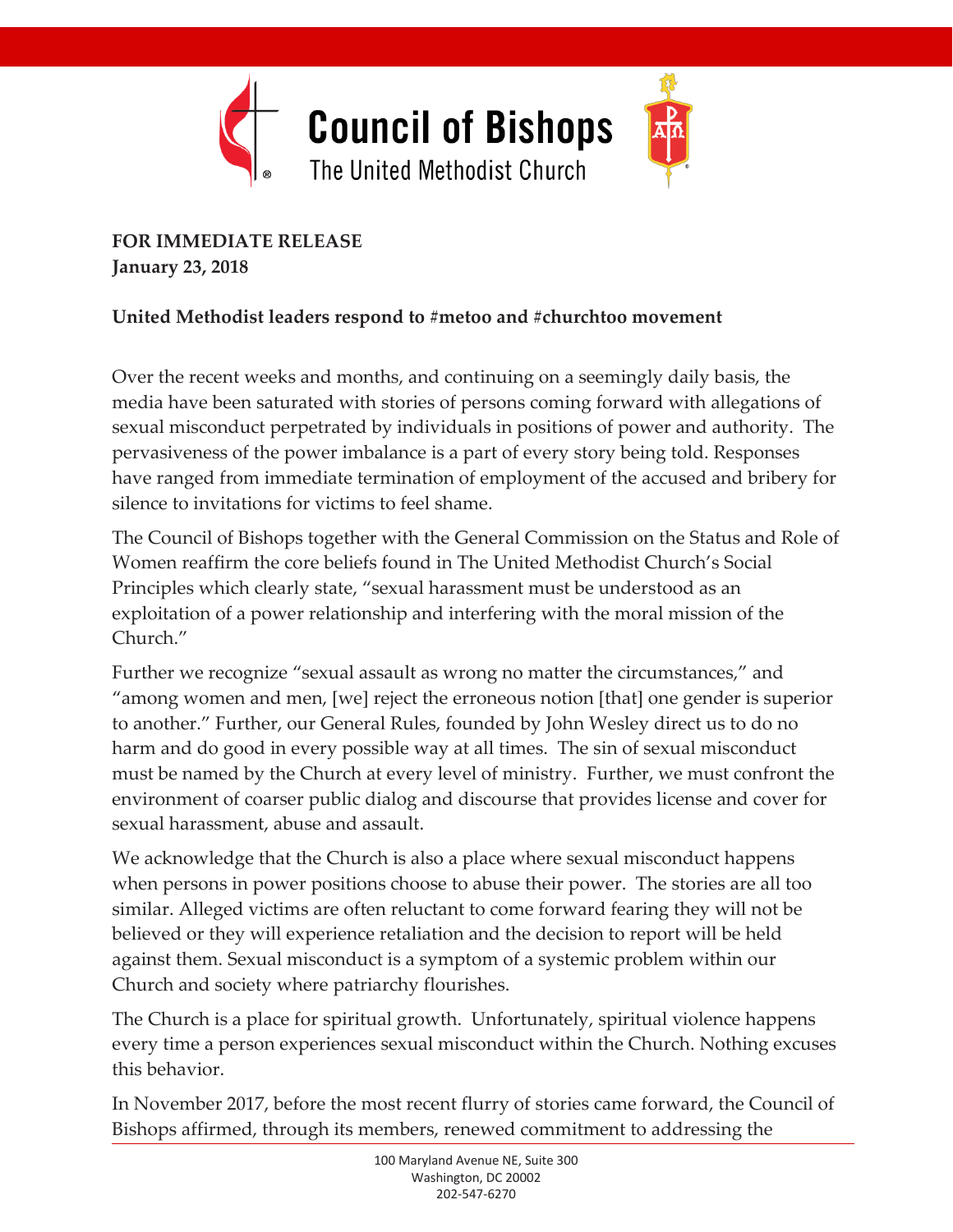

Joint Statement of The Council of The Council of The Council of The Council of The Council of The Council of The Council of The Council of The Council of The Council of The Council of The Council of The Council of The Coun Bishops with **January 23, 2018 FOR IMMEDIATE RELEASE** 

#### United Methodist leaders respond to #metoo and #churchtoo movement

Over the recent weeks and months, and continuing on a seemingly daily basis, the media have been saturated with stories of persons coming forward with allegations of sexual misconduct perpetrated by individuals in positions of power and authority. The pervasiveness of the power imbalance is a part of every story being told. Responses have ranged from immediate termination of employment of the accused and bribery for silence to invitations for victims to feel shame.

The Council of Bishops together with the General Commission on the Status and Role of Women reaffirm the core beliefs found in The United Methodist Church's Social Principles which clearly state, "sexual harassment must be understood as an exploitation of a power relationship and interfering with the moral mission of the Church."

Further we recognize "sexual assault as wrong no matter the circumstances," and "among women and men, [we] reject the erroneous notion [that] one gender is superior to another." Further, our General Rules, founded by John Wesley direct us to do no harm and do good in every possible way at all times. The sin of sexual misconduct must be named by the Church at every level of ministry. Further, we must confront the environment of coarser public dialog and discourse that provides license and cover for sexual harassment, abuse and assault.

We acknowledge that the Church is also a place where sexual misconduct happens when persons in power positions choose to abuse their power. The stories are all too similar. Alleged victims are often reluctant to come forward fearing they will not be believed or they will experience retaliation and the decision to report will be held against them. Sexual misconduct is a symptom of a systemic problem within our Church and society where patriarchy flourishes.

The Church is a place for spiritual growth. Unfortunately, spiritual violence happens every time a person experiences sexual misconduct within the Church. Nothing excuses this behavior.

In November 2017, before the most recent flurry of stories came forward, the Council of Bishops affirmed, through its members, renewed commitment to addressing the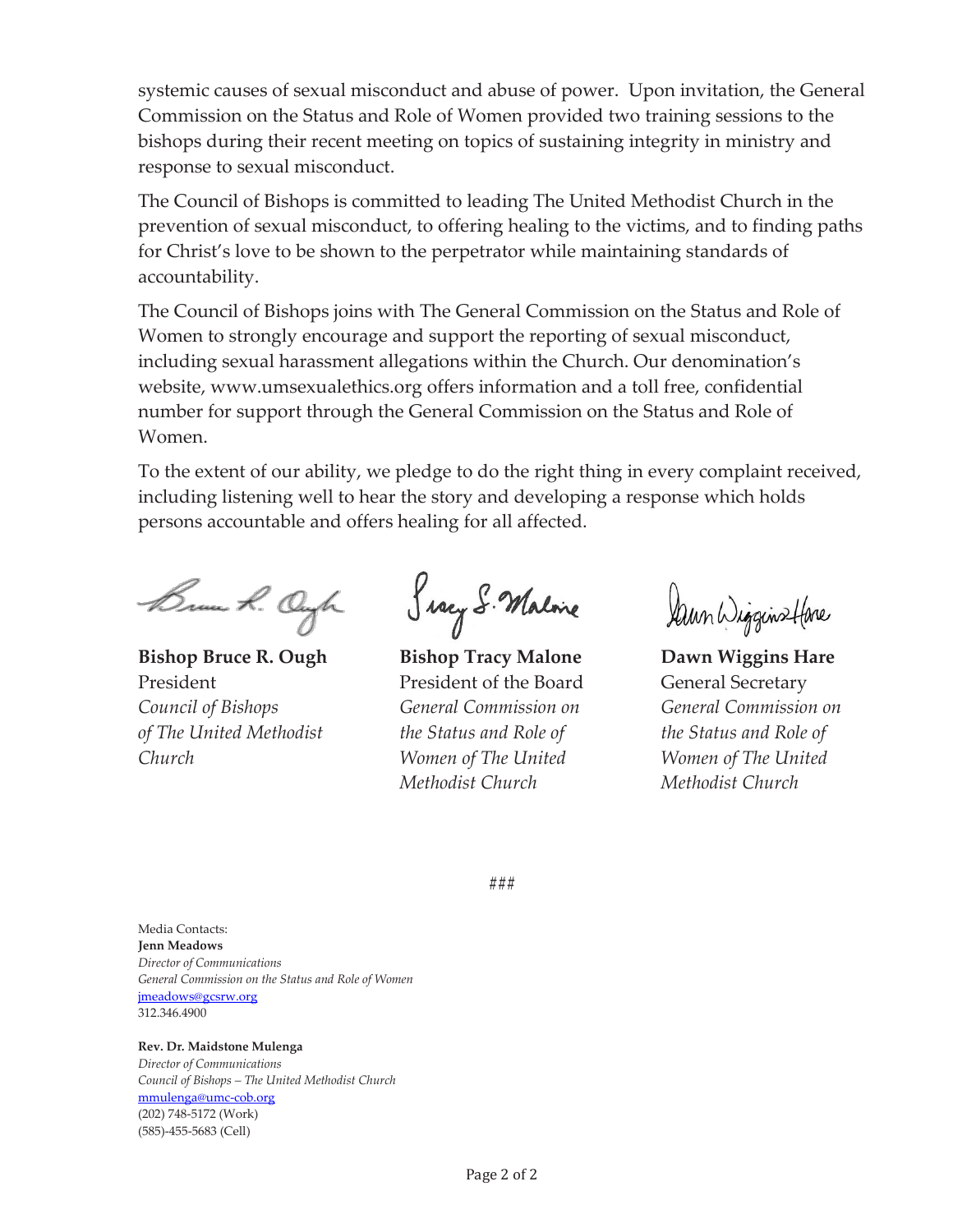systemic causes of sexual misconduct and abuse of power. Upon invitation, the General Commission on the Status and Role of Women provided two training sessions to the bishops during their recent meeting on topics of sustaining integrity in ministry and response to sexual misconduct.

The Council of Bishops is committed to leading The United Methodist Church in the prevention of sexual misconduct, to offering healing to the victims, and to finding paths for Christ's love to be shown to the perpetrator while maintaining standards of accountability.

The Council of Bishops joins with The General Commission on the Status and Role of Women to strongly encourage and support the reporting of sexual misconduct, including sexual harassment allegations within the Church. Our denomination's website, www.umsexualethics.org offers information and a toll free, confidential number for support through the General Commission on the Status and Role of Women.

To the extent of our ability, we pledge to do the right thing in every complaint received, including listening well to hear the story and developing a response which holds persons accountable and offers healing for all affected.

Brun R. Ongh

**Bishop Bruce R. Ough**  President *Council of Bishops of The United Methodist Church* 

Serry S. Malone

**Bishop Tracy Malone**  President of the Board *General Commission on the Status and Role of Women of The United Methodist Church* 

Dann Wigginstlane

**Dawn Wiggins Hare**  General Secretary *General Commission on the Status and Role of Women of The United Methodist Church* 

###

Media Contacts: **Jenn Meadows** *Director of Communications General Commission on the Status and Role of Women*  jmeadows@gcsrw.org 312.346.4900

#### **Rev. Dr. Maidstone Mulenga** *Director of Communications*

*Council of Bishops – The United Methodist Church*  mmulenga@umc-cob.org (202) 748-5172 (Work) (585)-455-5683 (Cell)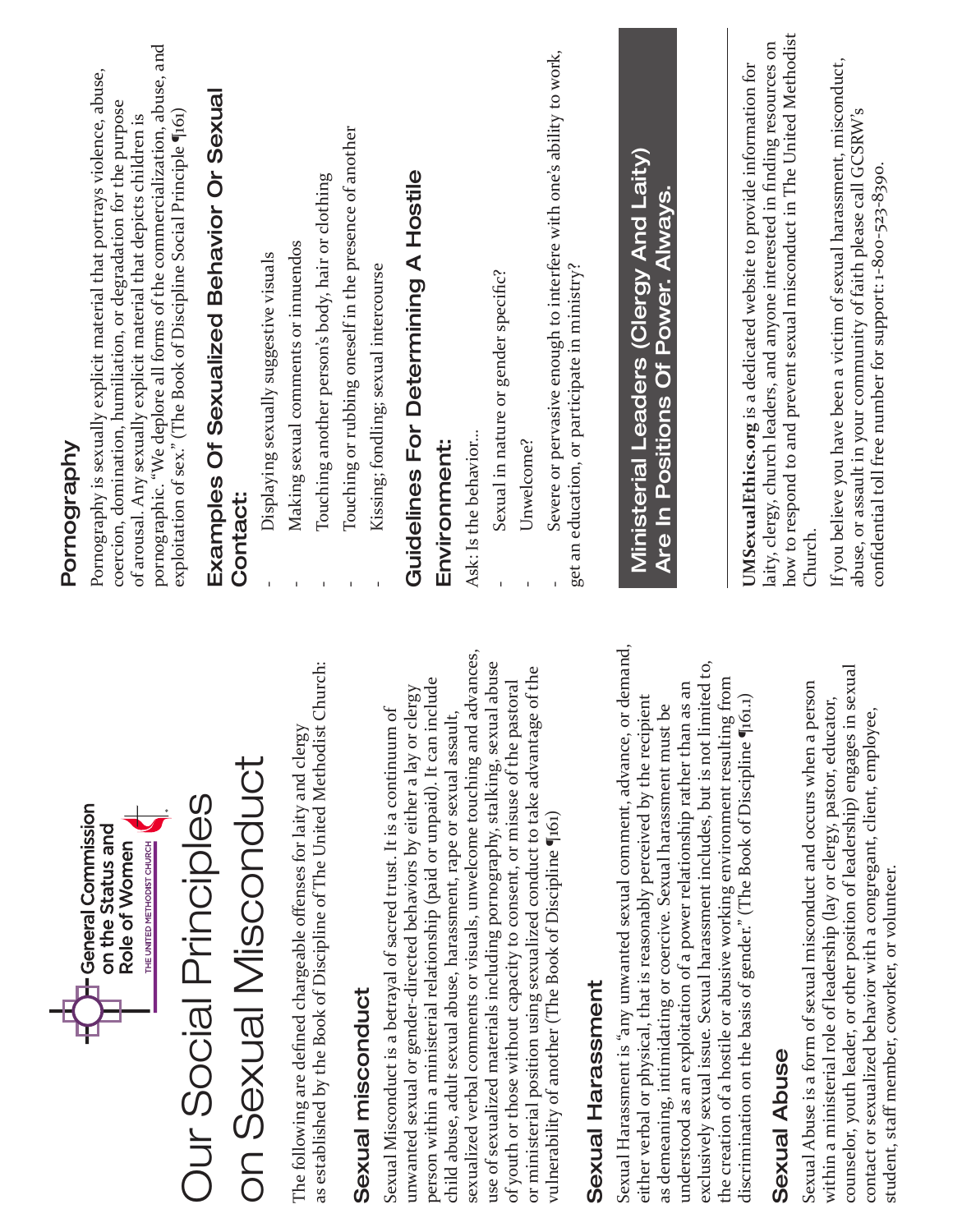| H-General Commission                                                                                                                                                                                                                                                                                                                                                                  | Pornography                                                                                                                                                                                                                                                                                      |
|---------------------------------------------------------------------------------------------------------------------------------------------------------------------------------------------------------------------------------------------------------------------------------------------------------------------------------------------------------------------------------------|--------------------------------------------------------------------------------------------------------------------------------------------------------------------------------------------------------------------------------------------------------------------------------------------------|
| THE UNITED METHODIST CHURCH<br>on the Status and<br>Role of Women                                                                                                                                                                                                                                                                                                                     | pornographic. "We deplore all forms of the commercialization, abuse, and<br>Pornography is sexually explicit material that portrays violence, abuse,<br>coercion, domination, humiliation, or degradation for the purpose<br>of arousal. Any sexually explicit material that depicts children is |
| <b>Our Social Principles</b>                                                                                                                                                                                                                                                                                                                                                          | Examples Of Sexualized Behavior Or Sexual<br>exploitation of sex." (The Book of Discipline Social Principle (161)                                                                                                                                                                                |
| on Sexual Misconduct                                                                                                                                                                                                                                                                                                                                                                  | <b>Contact:</b>                                                                                                                                                                                                                                                                                  |
|                                                                                                                                                                                                                                                                                                                                                                                       | Displaying sexually suggestive visuals                                                                                                                                                                                                                                                           |
| Church:<br>The following are defined chargeable offenses for laity and clergy<br>as established by the Book of Discipline of The United Methodist                                                                                                                                                                                                                                     | Touching another person's body, hair or clothing<br>Making sexual comments or innuendos                                                                                                                                                                                                          |
| Sexual misconduct                                                                                                                                                                                                                                                                                                                                                                     | Touching or rubbing oneself in the presence of another                                                                                                                                                                                                                                           |
| Sexual Misconduct is a betrayal of sacred trust. It is a continuum of                                                                                                                                                                                                                                                                                                                 | Kissing; fondling; sexual intercourse                                                                                                                                                                                                                                                            |
| unwanted sexual or gender-directed behaviors by either a lay or clergy                                                                                                                                                                                                                                                                                                                | Guidelines For Determining A Hostile                                                                                                                                                                                                                                                             |
| person within a ministerial relationship (paid or unpaid). It can include<br>child abuse, adult sexual abuse, harassment, rape or sexual assault,                                                                                                                                                                                                                                     | Environment:                                                                                                                                                                                                                                                                                     |
| advances,<br>sexualized verbal comments or visuals, unwelcome touching and                                                                                                                                                                                                                                                                                                            | Ask: Is the behavior                                                                                                                                                                                                                                                                             |
| use of sexualized materials including pornography, stalking, sexual abuse<br>of youth or those without capacity to consent, or misuse of the pastoral                                                                                                                                                                                                                                 | Sexual in nature or gender specific?                                                                                                                                                                                                                                                             |
| or ministerial position using sexualized conduct to take advantage of the                                                                                                                                                                                                                                                                                                             | Unwelcome?                                                                                                                                                                                                                                                                                       |
| vulnerability of another (The Book of Discipline (161)                                                                                                                                                                                                                                                                                                                                | Severe or pervasive enough to interfere with one's ability to work,<br>get an education, or participate in ministry?                                                                                                                                                                             |
| Sexual Harassment                                                                                                                                                                                                                                                                                                                                                                     |                                                                                                                                                                                                                                                                                                  |
| or demand,<br>exclusively sexual issue. Sexual harassment includes, but is not limited to,<br>understood as an exploitation of a power relationship rather than as an<br>either verbal or physical, that is reasonably perceived by the recipient<br>as demeaning, intimidating or coercive. Sexual harassment must be<br>Sexual Harassment is "any unwanted sexual comment, advance, | Ministerial Leaders (Clergy And Laity)<br>Are In Positions Of Power. Always.                                                                                                                                                                                                                     |
| the creation of a hostile or abusive working environment resulting from<br>(61.1)<br>discrimination on the basis of gender." (The Book of Discipline "1                                                                                                                                                                                                                               |                                                                                                                                                                                                                                                                                                  |
| Sexual Abuse                                                                                                                                                                                                                                                                                                                                                                          | how to respond to and prevent sexual misconduct in The United Methodist<br>laity, clergy, church leaders, and anyone interested in finding resources on<br>UMSexualEthics.org is a dedicated website to provide information for                                                                  |
| Sexual Abuse is a form of sexual misconduct and occurs when a person                                                                                                                                                                                                                                                                                                                  | Church.                                                                                                                                                                                                                                                                                          |
| counselor, youth leader, or other position of leadership) engages in sexual<br>within a ministerial role of leadership (lay or clergy, pastor, educator,<br>contact or sexualized behavior with a congregant, client, employee,<br>student, staff member, coworker, or volunteer.                                                                                                     | If you believe you have been a victim of sexual harassment, misconduct,<br>abuse, or assault in your community of faith please call GCSRW's<br>confidential toll free number for support: 1-800-523-8390.                                                                                        |